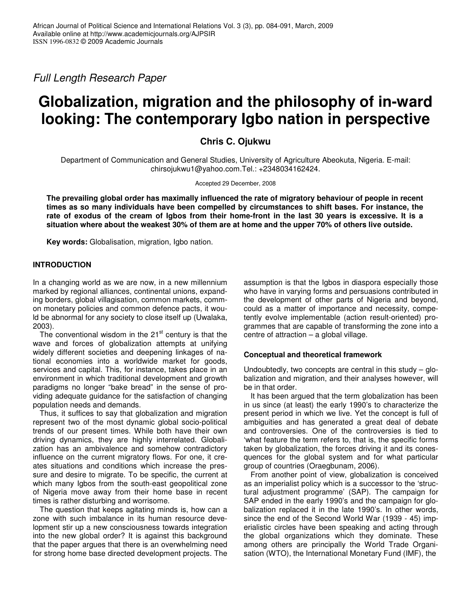*Full Length Research Paper*

# **Globalization, migration and the philosophy of in-ward looking: The contemporary Igbo nation in perspective**

**Chris C. Ojukwu**

Department of Communication and General Studies, University of Agriculture Abeokuta, Nigeria. E-mail: chirsojukwu1@yahoo.com.Tel.: +2348034162424.

Accepted 29 December, 2008

**The prevailing global order has maximally influenced the rate of migratory behaviour of people in recent times as so many individuals have been compelled by circumstances to shift bases. For instance, the** rate of exodus of the cream of Igbos from their home-front in the last 30 years is excessive. It is a situation where about the weakest 30% of them are at home and the upper 70% of others live outside.

**Key words:** Globalisation, migration, Igbo nation.

# **INTRODUCTION**

In a changing world as we are now, in a new millennium marked by regional alliances, continental unions, expanding borders, global villagisation, common markets, common monetary policies and common defence pacts, it would be abnormal for any society to close itself up (Uwalaka, 2003).

The conventional wisdom in the 21<sup>st</sup> century is that the wave and forces of globalization attempts at unifying widely different societies and deepening linkages of national economies into a worldwide market for goods, services and capital. This, for instance, takes place in an environment in which traditional development and growth paradigms no longer "bake bread" in the sense of providing adequate guidance for the satisfaction of changing population needs and demands.

Thus, it suffices to say that globalization and migration represent two of the most dynamic global socio-political trends of our present times. While both have their own driving dynamics, they are highly interrelated. Globalization has an ambivalence and somehow contradictory influence on the current migratory flows. For one, it creates situations and conditions which increase the pressure and desire to migrate. To be specific, the current at which many Igbos from the south-east geopolitical zone of Nigeria move away from their home base in recent times is rather disturbing and worrisome.

The question that keeps agitating minds is, how can a zone with such imbalance in its human resource development stir up a new consciousness towards integration into the new global order? It is against this background that the paper argues that there is an overwhelming need for strong home base directed development projects. The

assumption is that the Igbos in diaspora especially those who have in varying forms and persuasions contributed in the development of other parts of Nigeria and beyond, could as a matter of importance and necessity, competently evolve implementable (action result-oriented) programmes that are capable of transforming the zone into a centre of attraction – a global village.

## **Conceptual and theoretical framework**

Undoubtedly, two concepts are central in this study  $-$  globalization and migration, and their analyses however, will be in that order.

It has been argued that the term globalization has been in us since (at least) the early 1990's to characterize the present period in which we live. Yet the concept is full of ambiguities and has generated a great deal of debate and controversies. One of the controversies is tied to 'what feature the term refers to, that is, the specific forms taken by globalization, the forces driving it and its conesquences for the global system and for what particular group of countries (Oraegbunam, 2006).

From another point of view, globalization is conceived as an imperialist policy which is a successor to the 'structural adjustment programme' (SAP). The campaign for SAP ended in the early 1990's and the campaign for globalization replaced it in the late 1990's. In other words, since the end of the Second World War (1939 - 45) imperialistic circles have been speaking and acting through the global organizations which they dominate. These among others are principally the World Trade Organisation (WTO), the International Monetary Fund (IMF), the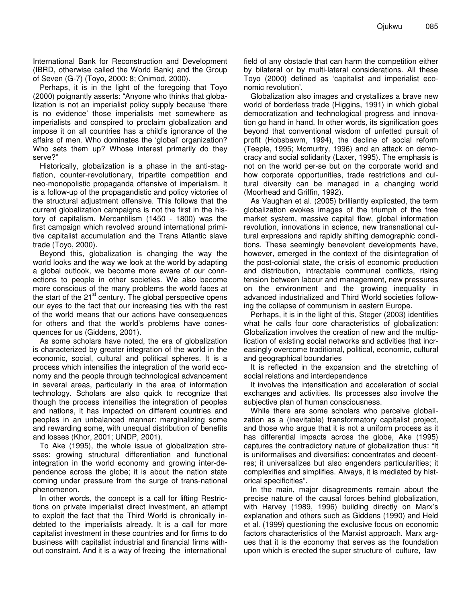International Bank for Reconstruction and Development (IBRD, otherwise called the World Bank) and the Group of Seven (G-7) (Toyo, 2000: 8; Onimod, 2000).

Perhaps, it is in the light of the foregoing that Toyo (2000) poignantly asserts: "Anyone who thinks that globalization is not an imperialist policy supply because 'there is no evidence' those imperialists met somewhere as imperialists and conspired to proclaim globalization and impose it on all countries has a child's ignorance of the affairs of men. Who dominates the 'global' organization? Who sets them up? Whose interest primarily do they serve?"

Historically, globalization is a phase in the anti-stagflation, counter-revolutionary, tripartite competition and neo-monopolistic propaganda offensive of imperialism. It is a follow-up of the propagandistic and policy victories of the structural adjustment offensive. This follows that the current globalization campaigns is not the first in the history of capitalism. Mercantilism (1450 - 1800) was the first campaign which revolved around international primitive capitalist accumulation and the Trans Atlantic slave trade (Toyo, 2000).

Beyond this, globalization is changing the way the world looks and the way we look at the world by adapting a global outlook, we become more aware of our connections to people in other societies. We also become more conscious of the many problems the world faces at the start of the 21<sup>st</sup> century. The global perspective opens our eyes to the fact that our increasing ties with the rest of the world means that our actions have consequences for others and that the world's problems have conesquences for us (Giddens, 2001).

As some scholars have noted, the era of globalization is characterized by greater integration of the world in the economic, social, cultural and political spheres. It is a process which intensifies the integration of the world economy and the people through technological advancement in several areas, particularly in the area of information technology. Scholars are also quick to recognize that though the process intensifies the integration of peoples and nations, it has impacted on different countries and peoples in an unbalanced manner: marginalizing some and rewarding some, with unequal distribution of benefits and losses (Khor, 2001; UNDP, 2001).

To Ake (1995), the whole issue of globalization stresses: growing structural differentiation and functional integration in the world economy and growing inter-dependence across the globe; it is about the nation state coming under pressure from the surge of trans-national phenomenon.

In other words, the concept is a call for lifting Restrictions on private imperialist direct investment, an attempt to exploit the fact that the Third World is chronically indebted to the imperialists already. It is a call for more capitalist investment in these countries and for firms to do business with capitalist industrial and financial firms without constraint. And it is a way of freeing the international

field of any obstacle that can harm the competition either by bilateral or by multi-lateral considerations. All these Toyo (2000) defined as 'capitalist and imperialist economic revolution'.

Globalization also images and crystallizes a brave new world of borderless trade (Higgins, 1991) in which global democratization and technological progress and innovation go hand in hand. In other words, its signification goes beyond that conventional wisdom of unfetted pursuit of profit (Hobsbawm, 1994), the decline of social reform (Teeple, 1995; Mcmurtry, 1996) and an attack on democracy and social solidarity (Laxer, 1995). The emphasis is not on the world per-se but on the corporate world and how corporate opportunities, trade restrictions and cultural diversity can be managed in a changing world (Moorhead and Griffin, 1992).

As Vaughan et al. (2005) brilliantly explicated, the term globalization evokes images of the triumph of the free market system, massive capital flow, global information revolution, innovations in science, new transnational cultural expressions and rapidly shifting demographic conditions. These seemingly benevolent developments have, however, emerged in the context of the disintegration of the post-colonial state, the crisis of economic production and distribution, intractable communal conflicts, rising tension between labour and management, new pressures on the environment and the growing inequality in advanced industrialized and Third World societies following the collapse of communism in eastern Europe.

Perhaps, it is in the light of this, Steger (2003) identifies what he calls four core characteristics of globalization: Globalization involves the creation of new and the multiplication of existing social networks and activities that increasingly overcome traditional, political, economic, cultural and geographical boundaries

It is reflected in the expansion and the stretching of social relations and interdependence

It involves the intensification and acceleration of social exchanges and activities. Its processes also involve the subjective plan of human consciousness.

While there are some scholars who perceive globalization as a (inevitable) transformatory capitalist project, and those who argue that it is not a uniform process as it has differential impacts across the globe, Ake (1995) captures the contradictory nature of globalization thus: "It is uniformalises and diversifies; concentrates and decentres; it universalizes but also engenders particularities; it complexifies and simplifies. Always, it is mediated by historical specificities".

In the main, major disagreements remain about the precise nature of the causal forces behind globalization, with Harvey (1989, 1996) building directly on Marx's explanation and others such as Giddens (1990) and Held et al. (1999) questioning the exclusive focus on economic factors characteristics of the Marxist approach. Marx argues that it is the economy that serves as the foundation upon which is erected the super structure of culture, law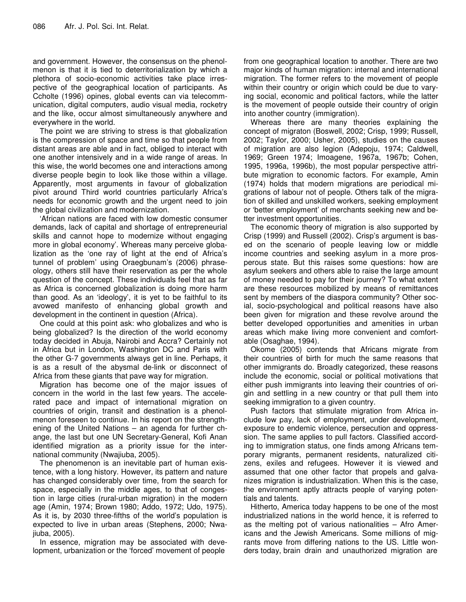and government. However, the consensus on the phenolmenon is that it is tied to deterritorialization by which a plethora of socio-economic activities take place irrespective of the geographical location of participants. As Ccholte (1996) opines, global events can via telecommunication, digital computers, audio visual media, rocketry and the like, occur almost simultaneously anywhere and everywhere in the world.

The point we are striving to stress is that globalization is the compression of space and time so that people from distant areas are able and in fact, obliged to interact with one another intensively and in a wide range of areas. In this wise, the world becomes one and interactions among diverse people begin to look like those within a village. Apparently, most arguments in favour of globalization pivot around Third world countries particularly Africa's needs for economic growth and the urgent need to join the global civilization and modernization.

'African nations are faced with low domestic consumer demands, lack of capital and shortage of entrepreneurial skills and cannot hope to modernize without engaging more in global economy'. Whereas many perceive globalization as the 'one ray of light at the end of Africa's tunnel of problem' using Oraegbunam's (2006) phraseology, others still have their reservation as per the whole question of the concept. These individuals feel that as far as Africa is concerned globalization is doing more harm than good. As an 'ideology', it is yet to be faithful to its avowed manifesto of enhancing global growth and development in the continent in question (Africa).

One could at this point ask: who globalizes and who is being globalized? Is the direction of the world economy today decided in Abuja, Nairobi and Accra? Certainly not in Africa but in London, Washington DC and Paris with the other G-7 governments always get in line. Perhaps, it is as a result of the abysmal de-link or disconnect of Africa from these giants that pave way for migration.

Migration has become one of the major issues of concern in the world in the last few years. The accelerated pace and impact of international migration on countries of origin, transit and destination is a phenolmenon foreseen to continue. In his report on the strengthening of the United Nations – an agenda for further change, the last but one UN Secretary-General, Kofi Anan identified migration as a priority issue for the international community (Nwajiuba, 2005).

The phenomenon is an inevitable part of human existence, with a long history. However, its pattern and nature has changed considerably over time, from the search for space, especially in the middle ages, to that of congestion in large cities (rural-urban migration) in the modern age (Amin, 1974; Brown 1980; Addo, 1972; Udo, 1975). As it is, by 2030 three-fifths of the world's population is expected to live in urban areas (Stephens, 2000; Nwajiuba, 2005).

In essence, migration may be associated with development, urbanization or the 'forced' movement of people

from one geographical location to another. There are two major kinds of human migration: internal and international migration. The former refers to the movement of people within their country or origin which could be due to varying social, economic and political factors, while the latter is the movement of people outside their country of origin into another country (immigration).

Whereas there are many theories explaining the concept of migraton (Boswell, 2002; Crisp, 1999; Russell, 2002; Taylor, 2000; Usher, 2005), studies on the causes of migration are also legion (Adepoju, 1974; Caldwell, 1969; Green 1974; Imoagene, 1967a, 1967b; Cohen, 1995, 1996a, 1996b), the most popular perspective attribute migration to economic factors. For example, Amin (1974) holds that modern migrations are periodical migrations of labour not of people. Others talk of the migration of skilled and unskilled workers, seeking employment or 'better employment' of merchants seeking new and better investment opportunities.

The economic theory of migration is also supported by Crisp (1999) and Russell (2002). Crisp's argument is based on the scenario of people leaving low or middle income countries and seeking asylum in a more prosperous state. But this raises some questions: how are asylum seekers and others able to raise the large amount of money needed to pay for their journey? To what extent are these resources mobilized by means of remittances sent by members of the diaspora community? Other social, socio-psychological and political reasons have also been given for migration and these revolve around the better developed opportunities and amenities in urban areas which make living more convenient and comfortable (Osaghae, 1994).

Okome (2005) contends that Africans migrate from their countries of birth for much the same reasons that other immigrants do. Broadly categorized, these reasons include the economic, social or political motivations that either push immigrants into leaving their countries of origin and settling in a new country or that pull them into seeking immigration to a given country.

Push factors that stimulate migration from Africa include low pay, lack of employment, under development, exposure to endemic violence, persecution and oppresssion. The same applies to pull factors. Classified according to immigration status, one finds among Africans temporary migrants, permanent residents, naturalized citizens, exiles and refugees. However it is viewed and assumed that one other factor that propels and galvanizes migration is industrialization. When this is the case, the environment aptly attracts people of varying potentials and talents.

Hitherto, America today happens to be one of the most industrialized nations in the world hence, it is referred to as the melting pot of various nationalities – Afro Americans and the Jewish Americans. Some millions of migrants move from differing nations to the US. Little wonders today, brain drain and unauthorized migration are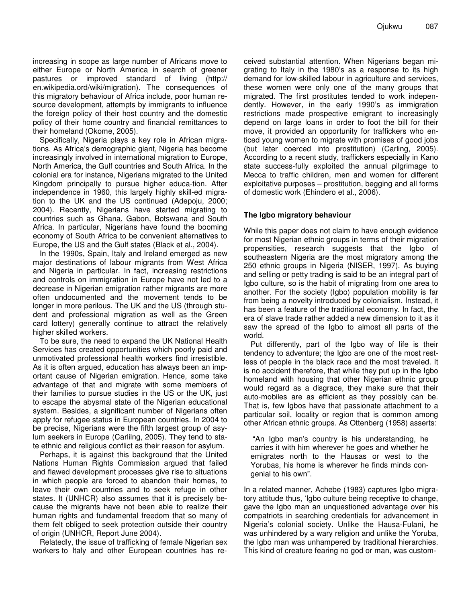increasing in scope as large number of Africans move to either Europe or North America in search of greener pastures or improved standard of living (http:// en.wikipedia.ord/wiki/migration). The consequences of this migratory behaviour of Africa include, poor human resource development, attempts by immigrants to influence the foreign policy of their host country and the domestic policy of their home country and financial remittances to their homeland (Okome, 2005).

Specifically, Nigeria plays a key role in African migrations. As Africa's demographic giant, Nigeria has become increasingly involved in international migration to Europe, North America, the Gulf countries and South Africa. In the colonial era for instance, Nigerians migrated to the United Kingdom principally to pursue higher educa-tion. After independence in 1960, this largely highly skill-ed migration to the UK and the US continued (Adepoju, 2000; 2004). Recently, Nigerians have started migrating to countries such as Ghana, Gabon, Botswana and South Africa. In particular, Nigerians have found the booming economy of South Africa to be convenient alternatives to Europe, the US and the Gulf states (Black et al., 2004).

In the 1990s, Spain, Italy and Ireland emerged as new major destinations of labour migrants from West Africa and Nigeria in particular. In fact, increasing restrictions and controls on immigration in Europe have not led to a decrease in Nigerian emigration rather migrants are more often undocumented and the movement tends to be longer in more perilous. The UK and the US (through student and professional migration as well as the Green card lottery) generally continue to attract the relatively higher skilled workers.

To be sure, the need to expand the UK National Health Services has created opportunities which poorly paid and unmotivated professional health workers find irresistible. As it is often argued, education has always been an important cause of Nigerian emigration. Hence, some take advantage of that and migrate with some members of their families to pursue studies in the US or the UK, just to escape the abysmal state of the Nigerian educational system. Besides, a significant number of Nigerians often apply for refugee status in European countries. In 2004 to be precise, Nigerians were the fifth largest group of asylum seekers in Europe (Carlilng, 2005). They tend to state ethnic and religious conflict as their reason for asylum.

Perhaps, it is against this background that the United Nations Human Rights Commission argued that failed and flawed development processes give rise to situations in which people are forced to abandon their homes, to leave their own countries and to seek refuge in other states. It (UNHCR) also assumes that it is precisely because the migrants have not been able to realize their human rights and fundamental freedom that so many of them felt obliged to seek protection outside their country of origin (UNHCR, Report June 2004).

Relatedly, the issue of trafficking of female Nigerian sex workers to Italy and other European countries has re-

ceived substantial attention. When Nigerians began migrating to Italy in the 1980's as a response to its high demand for low-skilled labour in agriculture and services, these women were only one of the many groups that migrated. The first prostitutes tended to work independently. However, in the early 1990's as immigration restrictions made prospective emigrant to increasingly depend on large loans in order to foot the bill for their move, it provided an opportunity for traffickers who enticed young women to migrate with promises of good jobs (but later coerced into prostitution) (Carling, 2005). According to a recent study, traffickers especially in Kano state success-fully exploited the annual pilgrimage to Mecca to traffic children, men and women for different exploitative purposes – prostitution, begging and all forms of domestic work (Ehindero et al., 2006).

# **The Igbo migratory behaviour**

While this paper does not claim to have enough evidence for most Nigerian ethnic groups in terms of their migration propensities, research suggests that the Igbo of southeastern Nigeria are the most migratory among the 250 ethnic groups in Nigeria (NISER, 1997). As buying and selling or petty trading is said to be an integral part of Igbo culture, so is the habit of migrating from one area to another. For the society (Igbo) population mobility is far from being a novelty introduced by colonialism. Instead, it has been a feature of the traditional economy. In fact, the era of slave trade rather added a new dimension to it as it saw the spread of the Igbo to almost all parts of the world.

Put differently, part of the Igbo way of life is their tendency to adventure; the Igbo are one of the most restless of people in the black race and the most traveled. It is no accident therefore, that while they put up in the Igbo homeland with housing that other Nigerian ethnic group would regard as a disgrace, they make sure that their auto-mobiles are as efficient as they possibly can be. That is, few Igbos have that passionate attachment to a particular soil, locality or region that is common among other African ethnic groups. As Ottenberg (1958) asserts:

"An Igbo man's country is his understanding, he carries it with him wherever he goes and whether he emigrates north to the Hausas or west to the Yorubas, his home is wherever he finds minds congenial to his own".

In a related manner, Achebe (1983) captures Igbo migratory attitude thus, 'Igbo culture being receptive to change, gave the Igbo man an unquestioned advantage over his compatriots in searching credentials for advancement in Nigeria's colonial society. Unlike the Hausa-Fulani, he was unhindered by a wary religion and unlike the Yoruba, the Igbo man was unhampered by traditional hierarchies. This kind of creature fearing no god or man, was custom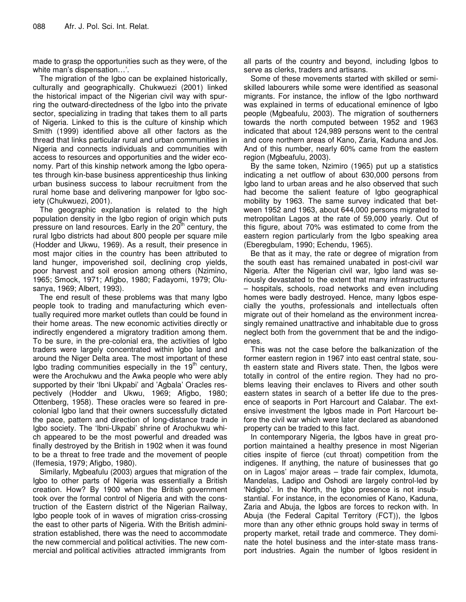made to grasp the opportunities such as they were, of the white man's dispensation…'.

The migration of the Igbo can be explained historically, culturally and geographically. Chukwuezi (2001) linked the historical impact of the Nigerian civil way with spurring the outward-directedness of the Igbo into the private sector, specializing in trading that takes them to all parts of Nigeria. Linked to this is the culture of kinship which Smith (1999) identified above all other factors as the thread that links particular rural and urban communities in Nigeria and connects individuals and communities with access to resources and opportunities and the wider economy. Part of this kinship network among the Igbo operates through kin-base business apprenticeship thus linking urban business success to labour recruitment from the rural home base and delivering manpower for Igbo society (Chukwuezi, 2001).

The geographic explanation is related to the high population density in the Igbo region of origin which puts pressure on land resources. Early in the 20<sup>th</sup> century, the rural Igbo districts had about 800 people per square mile (Hodder and Ukwu, 1969). As a result, their presence in most major cities in the country has been attributed to land hunger, impoverished soil, declining crop yields, poor harvest and soil erosion among others (Nzimino, 1965; Smock, 1971; Afigbo, 1980; Fadayomi, 1979; Olusanya, 1969; Albert, 1993).

The end result of these problems was that many Igbo people took to trading and manufacturing which eventually required more market outlets than could be found in their home areas. The new economic activities directly or indirectly engendered a migratory tradition among them. To be sure, in the pre-colonial era, the activities of Igbo traders were largely concentrated within Igbo land and around the Niger Delta area. The most important of these Igbo trading communities especially in the 19<sup>th</sup> century, were the Arochukwu and the Awka people who were ably supported by their 'Ibni Ukpabi' and 'Agbala' Oracles respectively (Hodder and Ukwu, 1969; Afigbo, 1980; Ottenberg, 1958). These oracles were so feared in precolonial Igbo land that their owners successfully dictated the pace, pattern and direction of long-distance trade in Igbo society. The 'Ibni-Ukpabi' shrine of Arochukwu which appeared to be the most powerful and dreaded was finally destroyed by the British in 1902 when it was found to be a threat to free trade and the movement of people (Ifemesia, 1979; Afigbo, 1980).

Similarly, Mgbeafulu (2003) argues that migration of the Igbo to other parts of Nigeria was essentially a British creation. How? By 1900 when the British government took over the formal control of Nigeria and with the construction of the Eastern district of the Nigerian Railway, Igbo people took of in waves of migration criss-crossing the east to other parts of Nigeria. With the British administration established, there was the need to accommodate the new commercial and political activities. The new commercial and political activities attracted immigrants from

all parts of the country and beyond, including Igbos to serve as clerks, traders and artisans.

Some of these movements started with skilled or semiskilled labourers while some were identified as seasonal migrants. For instance, the inflow of the Igbo northward was explained in terms of educational eminence of Igbo people (Mgbeafulu, 2003). The migration of southerners towards the north computed between 1952 and 1963 indicated that about 124,989 persons went to the central and core northern areas of Kano, Zaria, Kaduna and Jos. And of this number, nearly 60% came from the eastern region (Mgbeafulu, 2003).

By the same token, Nzimiro (1965) put up a statistics indicating a net outflow of about 630,000 persons from Igbo land to urban areas and he also observed that such had become the salient feature of Igbo geographical mobility by 1963. The same survey indicated that between 1952 and 1963, about 644,000 persons migrated to metropolitan Lagos at the rate of 59,000 yearly. Out of this figure, about 70% was estimated to come from the eastern region particularly from the Igbo speaking area (Eberegbulam, 1990; Echendu, 1965).

Be that as it may, the rate or degree of migration from the south east has remained unabated in post-civil war Nigeria. After the Nigerian civil war, Igbo land was seriously devastated to the extent that many infrastructures – hospitals, schools, road networks and even including homes were badly destroyed. Hence, many Igbos especially the youths, professionals and intellectuals often migrate out of their homeland as the environment increasingly remained unattractive and inhabitable due to gross neglect both from the government that be and the indigoenes.

This was not the case before the balkanization of the former eastern region in 1967 into east central state, south eastern state and Rivers state. Then, the Igbos were totally in control of the entire region. They had no problems leaving their enclaves to Rivers and other south eastern states in search of a better life due to the presence of seaports in Port Harcourt and Calabar. The extensive investment the Igbos made in Port Harcourt before the civil war which were later declared as abandoned property can be traded to this fact.

In contemporary Nigeria, the Igbos have in great proportion maintained a healthy presence in most Nigerian cities inspite of fierce (cut throat) competition from the indigenes. If anything, the nature of businesses that go on in Lagos' major areas – trade fair complex, Idumota, Mandelas, Ladipo and Oshodi are largely control-led by 'Ndigbo'. In the North, the Igbo presence is not insubstantial. For instance, in the economies of Kano, Kaduna, Zaria and Abuja, the Igbos are forces to reckon with. In Abuja (the Federal Capital Territory (FCT)), the Igbos more than any other ethnic groups hold sway in terms of property market, retail trade and commerce. They dominate the hotel business and the inter-state mass transport industries. Again the number of Igbos resident in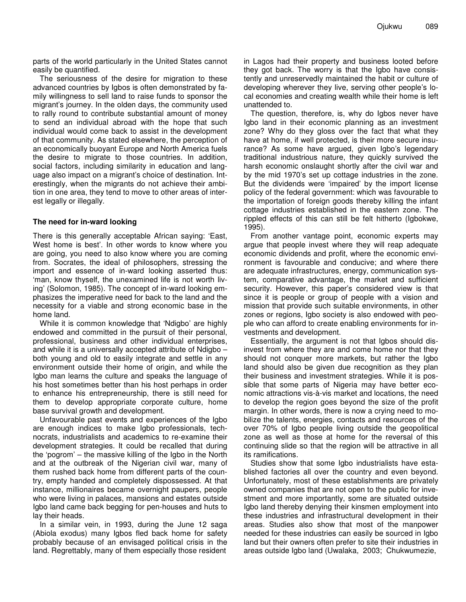parts of the world particularly in the United States cannot easily be quantified.

The seriousness of the desire for migration to these advanced countries by Igbos is often demonstrated by family willingness to sell land to raise funds to sponsor the migrant's journey. In the olden days, the community used to rally round to contribute substantial amount of money to send an individual abroad with the hope that such individual would come back to assist in the development of that community. As stated elsewhere, the perception of an economically buoyant Europe and North America fuels the desire to migrate to those countries. In addition, social factors, including similarity in education and language also impact on a migrant's choice of destination. Interestingly, when the migrants do not achieve their ambition in one area, they tend to move to other areas of interest legally or illegally.

#### **The need for in-ward looking**

There is this generally acceptable African saying: 'East, West home is best'. In other words to know where you are going, you need to also know where you are coming from. Socrates, the ideal of philosophers, stressing the import and essence of in-ward looking asserted thus: 'man, know thyself, the unexamined life is not worth living' (Solomon, 1985). The concept of in-ward looking emphasizes the imperative need for back to the land and the necessity for a viable and strong economic base in the home land.

While it is common knowledge that 'Ndigbo' are highly endowed and committed in the pursuit of their personal, professional, business and other individual enterprises, and while it is a universally accepted attribute of Ndigbo – both young and old to easily integrate and settle in any environment outside their home of origin, and while the Igbo man learns the culture and speaks the language of his host sometimes better than his host perhaps in order to enhance his entrepreneurship, there is still need for them to develop appropriate corporate culture, home base survival growth and development.

Unfavourable past events and experiences of the Igbo are enough indices to make Igbo professionals, technocrats, industrialists and academics to re-examine their development strategies. It could be recalled that during the 'pogrom' – the massive killing of the Igbo in the North and at the outbreak of the Nigerian civil war, many of them rushed back home from different parts of the country, empty handed and completely dispossessed. At that instance, millionaires became overnight paupers, people who were living in palaces, mansions and estates outside Igbo land came back begging for pen-houses and huts to lay their heads.

In a similar vein, in 1993, during the June 12 saga (Abiola exodus) many Igbos fled back home for safety probably because of an envisaged political crisis in the land. Regrettably, many of them especially those resident

in Lagos had their property and business looted before they got back. The worry is that the Igbo have consistently and unreservedly maintained the habit or culture of developing wherever they live, serving other people's local economies and creating wealth while their home is left unattended to.

The question, therefore, is, why do Igbos never have Igbo land in their economic planning as an investment zone? Why do they gloss over the fact that what they have at home, if well protected, is their more secure insurance? As some have argued, given Igbo's legendary traditional industrious nature, they quickly survived the harsh economic onslaught shortly after the civil war and by the mid 1970's set up cottage industries in the zone. But the dividends were 'impaired' by the import license policy of the federal government: which was favourable to the importation of foreign goods thereby killing the infant cottage industries established in the eastern zone. The rippled effects of this can still be felt hitherto (Igbokwe, 1995).

From another vantage point, economic experts may argue that people invest where they will reap adequate economic dividends and profit, where the economic environment is favourable and conducive; and where there are adequate infrastructures, energy, communication system, comparative advantage, the market and sufficient security. However, this paper's considered view is that since it is people or group of people with a vision and mission that provide such suitable environments, in other zones or regions, Igbo society is also endowed with people who can afford to create enabling environments for investments and development.

Essentially, the argument is not that Igbos should disinvest from where they are and come home nor that they should not conquer more markets, but rather the Igbo land should also be given due recognition as they plan their business and investment strategies. While it is possible that some parts of Nigeria may have better economic attractions vis-à-vis market and locations, the need to develop the region goes beyond the size of the profit margin. In other words, there is now a crying need to mobilize the talents, energies, contacts and resources of the over 70% of Igbo people living outside the geopolitical zone as well as those at home for the reversal of this continuing slide so that the region will be attractive in all its ramifications.

Studies show that some Igbo industrialists have established factories all over the country and even beyond. Unfortunately, most of these establishments are privately owned companies that are not open to the public for investment and more importantly, some are situated outside Igbo land thereby denying their kinsmen employment into these industries and infrastructural development in their areas. Studies also show that most of the manpower needed for these industries can easily be sourced in Igbo land but their owners often prefer to site their industries in areas outside Igbo land (Uwalaka, 2003; Chukwumezie,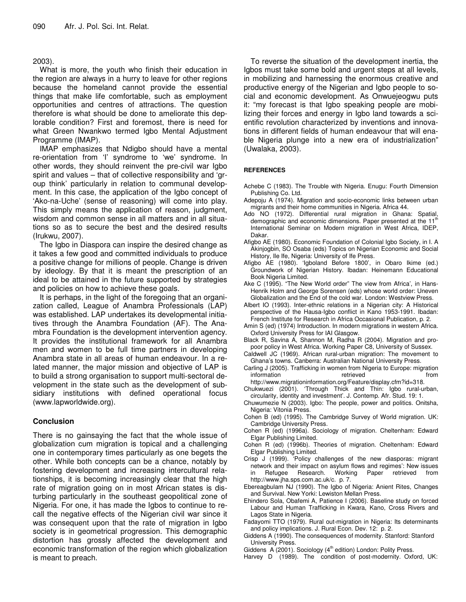#### 2003).

What is more, the youth who finish their education in the region are always in a hurry to leave for other regions because the homeland cannot provide the essential things that make life comfortable, such as employment opportunities and centres of attractions. The question therefore is what should be done to ameliorate this deplorable condition? First and foremost, there is need for what Green Nwankwo termed Igbo Mental Adjustment Programme (IMAP).

IMAP emphasizes that Ndigbo should have a mental re-orientation from 'I' syndrome to 'we' syndrome. In other words, they should reinvent the pre-civil war Igbo spirit and values – that of collective responsibility and 'group think' particularly in relation to communal development. In this case, the application of the Igbo concept of 'Ako-na-Uche' (sense of reasoning) will come into play. This simply means the application of reason, judgment, wisdom and common sense in all matters and in all situations so as to secure the best and the desired results (Irukwu, 2007).

The Igbo in Diaspora can inspire the desired change as it takes a few good and committed individuals to produce a positive change for millions of people. Change is driven by ideology. By that it is meant the prescription of an ideal to be attained in the future supported by strategies and policies on how to achieve these goals.

It is perhaps, in the light of the foregoing that an organization called, League of Anambra Professionals (LAP) was established. LAP undertakes its developmental initiatives through the Anambra Foundation (AF). The Anambra Foundation is the development intervention agency. It provides the institutional framework for all Anambra men and women to be full time partners in developing Anambra state in all areas of human endeavour. In a related manner, the major mission and objective of LAP is to build a strong organisation to support multi-sectoral development in the state such as the development of subsidiary institutions with defined operational focus (www.lapworldwide.org).

## **Conclusion**

There is no gainsaying the fact that the whole issue of globalization cum migration is topical and a challenging one in contemporary times particularly as one begets the other. While both concepts can be a chance, notably by fostering development and increasing intercultural relationships, it is becoming increasingly clear that the high rate of migration going on in most African states is disturbing particularly in the southeast geopolitical zone of Nigeria. For one, it has made the Igbos to continue to recall the negative effects of the Nigerian civil war since it was consequent upon that the rate of migration in Igbo society is in geometrical progression. This demographic distortion has grossly affected the development and economic transformation of the region which globalization is meant to preach.

To reverse the situation of the development inertia, the Igbos must take some bold and urgent steps at all levels, in mobilizing and harnessing the enormous creative and productive energy of the Nigerian and Igbo people to social and economic development. As Onwuejeogwu puts it: "my forecast is that Igbo speaking people are mobilizing their forces and energy in Igbo land towards a scientific revolution characterized by inventions and innovations in different fields of human endeavour that will enable Nigeria plunge into a new era of industrialization" (Uwalaka, 2003).

#### **REFERENCES**

- Achebe C (1983). The Trouble with Nigeria. Enugu: Fourth Dimension Publishing Co. Ltd.
- Adepoju A (1974). Migration and socio-economic links between urban migrants and their home communities in Nigeria. Africa 44.
- Ado NO (1972). Differential rural migration in Ghana: Spatial, demographic and economic dimensions. Paper presented at the 11<sup>th</sup> International Seminar on Modern migration in West Africa, IDEP, Dakar.
- Afigbo AE (1980). Economic Foundation of Colonial Igbo Society, in I. A Akinjogbin, SO Osaba (eds) Topics on Nigerian Economic and Social History, Ile Ife, Nigeria: University of Ife Press.
- Afigbo AE (1980). 'Igboland Before 1800', in Obaro Ikime (ed.) Groundwork of Nigerian History. Ibadan: Heinemann Educational Book Nigeria Limited.
- Ake C (1995). "The New World order" The view from Africa', in Hans-Henrik Holm and George Sorensen (eds) whose world order: Uneven Globalization and the End of the cold war. London: Westview Press.
- Albert IO (1993). Inter-ethnic relations in a Nigerian city: A Historical perspective of the Hausa-Igbo conflict in Kano 1953-1991. Ibadan: French Institute for Research in Africa Occasional Publication, p. 2.
- Amin S (ed) (1974) Introduction. In modern migrations in western Africa. Oxford University Press for IAI Glasgow.
- Black R, Savina A, Shannon M, Radha R (2004). Migration and propoor policy in West Africa. Working Paper C8, University of Sussex.
- Caldwell JC (1969). African rural-urban migration: The movement to Ghana's towns. Canberra: Australian National University Press.
- Carling J (2005). Trafficking in women from Nigeria to Europe: migration information retrieved from
- http://www.migrationinformation.org/Feature/display.cfm?id=318. Chukwuezi (2001). 'Through Thick and Thin: Igbo rural-urban, circularity, identity and investment'. J. Contemp. Afr. Stud. 19: 1.
- Chuwumezie N (2003). Igbo: The people, power and politics. Onitsha, Nigeria: Vitonia Press.
- Cohen B (ed) (1995). The Cambridge Survey of World migration. UK: Cambridge University Press.
- Cohen R (ed) (1996a). Sociology of migration. Cheltenham: Edward Elgar Publishing Limited.
- Cohen R (ed) (1996b). Theories of migration. Cheltenham: Edward Elgar Publishing Limited.
- Crisp J (1999). 'Policy challenges of the new diasporas: migrant network and their impact on asylum flows and regimes': New issues in Refugee Research. Working Paper retrieved from http://www.jha.sps.com.ac.uk/c. p. 7.
- Ebereagbulam NJ (1990). The Igbo of Nigeria: Anient Rites, Changes and Survival. New Yorki: Lewiston Mellan Press.
- Ehindero Sola, Obafemi A, Patience I (2006). Baseline study on forced Labour and Human Trafficking in Kwara, Kano, Cross Rivers and Lagos State in Nigeria.
- Fadayomi TTO (1979). Rural out-migration in Nigeria: Its determinants and policy implications. J. Rural Econ. Dev. 12: p. 2.
- Giddens A (1990). The consequences of modernity. Stanford: Stanford University Press.
- Giddens  $A(2001)$ . Sociology ( $4<sup>th</sup>$  edition) London: Polity Press.
- Harvey D (1989). The condition of post-modernity. Oxford, UK: